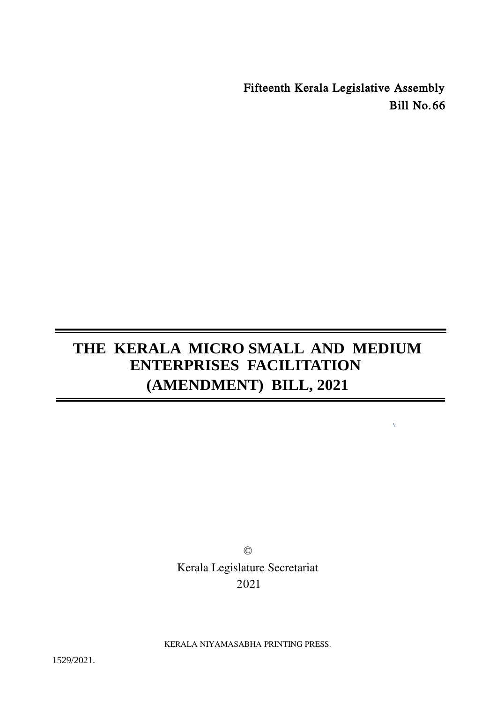Fifteenth Kerala Legislative Assembly Bill No.66

 $\bar{\mathbf{v}}$ 

# **THE KERALA MICRO SMALL AND MEDIUM ENTERPRISES FACILITATION (AMENDMENT) BILL, 2021**

© Kerala Legislature Secretariat 2021

KERALA NIYAMASABHA PRINTING PRESS.

1529/2021.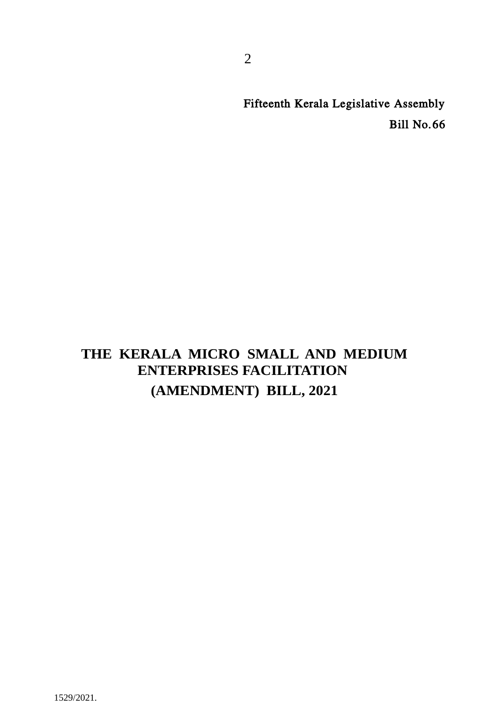Fifteenth Kerala Legislative Assembly Bill No.66

# **THE KERALA MICRO SMALL AND MEDIUM ENTERPRISES FACILITATION (AMENDMENT) BILL, 2021**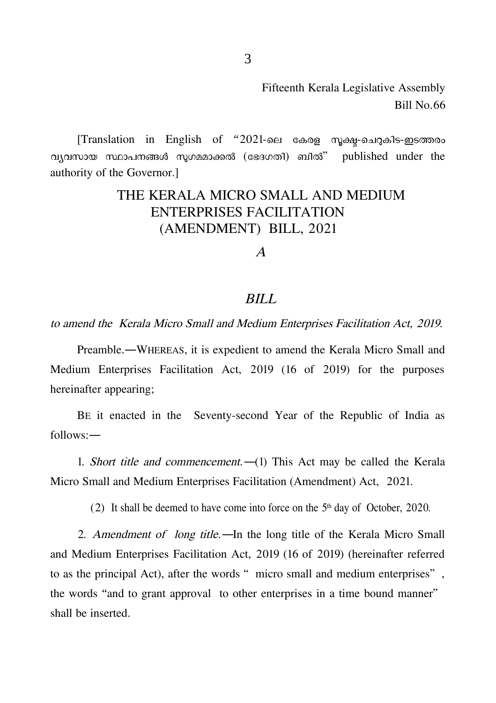Fifteenth Kerala Legislative Assembly Bill No.66

 $[Translation$  in English of "2021-ലെ കേരള സൂക്ഷു-ചെറുകിട-ഇടത്തരം വ്യവസായ സ്ഥാപനങ്ങൾ സുഗമമാക്കൽ (ഭേദഗതി) ബിൽ" published under the authority of the Governor.]

## THE KERALA MICRO SMALL AND MEDIUM ENTERPRISES FACILITATION (AMENDMENT) BILL, 2021

A

#### BILL

to amend the Kerala Micro Small and Medium Enterprises Facilitation Act, 2019.

Preamble.―WHEREAS, it is expedient to amend the Kerala Micro Small and Medium Enterprises Facilitation Act, 2019 (16 of 2019) for the purposes hereinafter appearing;

BE it enacted in the Seventy-second Year of the Republic of India as follows:―

1. Short title and commencement.―(1) This Act may be called the Kerala Micro Small and Medium Enterprises Facilitation (Amendment) Act, 2021.

(2) It shall be deemed to have come into force on the  $5<sup>th</sup>$  day of October, 2020.

2. Amendment of long title.—In the long title of the Kerala Micro Small and Medium Enterprises Facilitation Act, 2019 (16 of 2019) (hereinafter referred to as the principal Act), after the words "micro small and medium enterprises", the words "and to grant approval to other enterprises in a time bound manner" shall be inserted.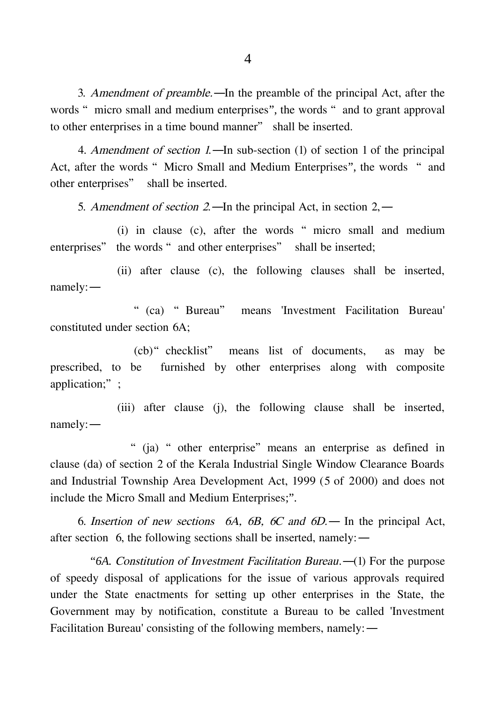3. Amendment of preamble.―In the preamble of the principal Act, after the words "micro small and medium enterprises", the words "and to grant approval to other enterprises in a time bound manner" shall be inserted.

4. Amendment of section 1.—In sub-section (1) of section 1 of the principal Act, after the words "Micro Small and Medium Enterprises", the words "and other enterprises" shall be inserted.

5. Amendment of section 2.—In the principal Act, in section 2,—

(i) in clause (c), after the words "micro small and medium enterprises" the words "and other enterprises" shall be inserted;

(ii) after clause (c), the following clauses shall be inserted, namely:―

"(ca) "Bureau" means 'Investment Facilitation Bureau' constituted under section 6A;

(cb)"checklist" means list of documents, as may be prescribed, to be furnished by other enterprises along with composite application;":

(iii) after clause (j), the following clause shall be inserted, namely:―

" (ja) " other enterprise" means an enterprise as defined in clause (da) of section 2 of the Kerala Industrial Single Window Clearance Boards and Industrial Township Area Development Act, 1999 (5 of 2000) and does not include the Micro Small and Medium Enterprises;".

6. Insertion of new sections 6A,  $6B$ ,  $6C$  and  $6D$  — In the principal Act, after section 6, the following sections shall be inserted, namely:―

"*6A.* Constitution of Investment Facilitation Bureau.―(1) For the purpose of speedy disposal of applications for the issue of various approvals required under the State enactments for setting up other enterprises in the State, the Government may by notification, constitute a Bureau to be called 'Investment Facilitation Bureau' consisting of the following members, namely:―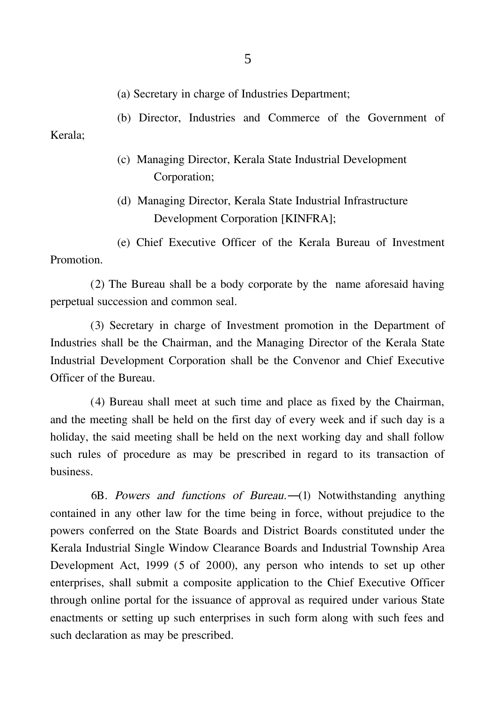(a) Secretary in charge of Industries Department;

(b) Director, Industries and Commerce of the Government of Kerala;

- (c) Managing Director, Kerala State Industrial Development Corporation;
- (d) Managing Director, Kerala State Industrial Infrastructure Development Corporation [KINFRA];

(e) Chief Executive Officer of the Kerala Bureau of Investment Promotion.

(2) The Bureau shall be a body corporate by the name aforesaid having perpetual succession and common seal.

(3) Secretary in charge of Investment promotion in the Department of Industries shall be the Chairman, and the Managing Director of the Kerala State Industrial Development Corporation shall be the Convenor and Chief Executive Officer of the Bureau.

(4) Bureau shall meet at such time and place as fixed by the Chairman, and the meeting shall be held on the first day of every week and if such day is a holiday, the said meeting shall be held on the next working day and shall follow such rules of procedure as may be prescribed in regard to its transaction of business.

6B. Powers and functions of Bureau.―(1) Notwithstanding anything contained in any other law for the time being in force, without prejudice to the powers conferred on the State Boards and District Boards constituted under the Kerala Industrial Single Window Clearance Boards and Industrial Township Area Development Act, 1999 (5 of 2000), any person who intends to set up other enterprises, shall submit a composite application to the Chief Executive Officer through online portal for the issuance of approval as required under various State enactments or setting up such enterprises in such form along with such fees and such declaration as may be prescribed.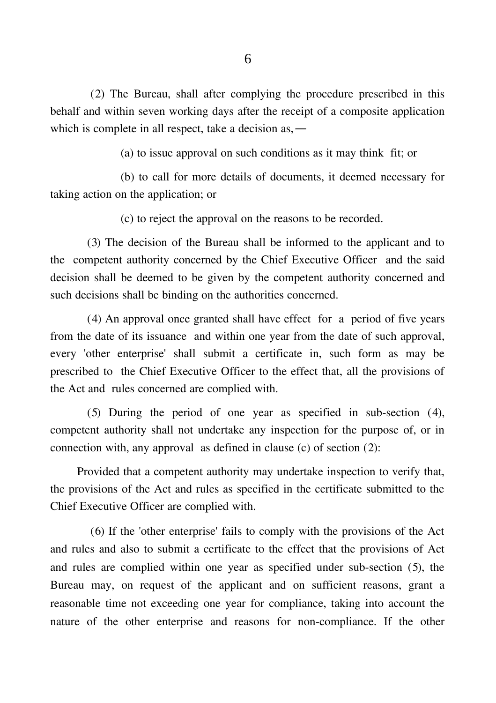(2) The Bureau, shall after complying the procedure prescribed in this behalf and within seven working days after the receipt of a composite application which is complete in all respect, take a decision as,―

(a) to issue approval on such conditions as it may think fit; or

(b) to call for more details of documents, it deemed necessary for taking action on the application; or

(c) to reject the approval on the reasons to be recorded.

(3) The decision of the Bureau shall be informed to the applicant and to the competent authority concerned by the Chief Executive Officer and the said decision shall be deemed to be given by the competent authority concerned and such decisions shall be binding on the authorities concerned.

(4) An approval once granted shall have effect for a period of five years from the date of its issuance and within one year from the date of such approval, every 'other enterprise' shall submit a certificate in, such form as may be prescribed to the Chief Executive Officer to the effect that, all the provisions of the Act and rules concerned are complied with.

(5) During the period of one year as specified in sub-section (4), competent authority shall not undertake any inspection for the purpose of, or in connection with, any approval as defined in clause (c) of section (2):

Provided that a competent authority may undertake inspection to verify that, the provisions of the Act and rules as specified in the certificate submitted to the Chief Executive Officer are complied with.

(6) If the 'other enterprise' fails to comply with the provisions of the Act and rules and also to submit a certificate to the effect that the provisions of Act and rules are complied within one year as specified under sub-section (5), the Bureau may, on request of the applicant and on sufficient reasons, grant a reasonable time not exceeding one year for compliance, taking into account the nature of the other enterprise and reasons for non-compliance. If the other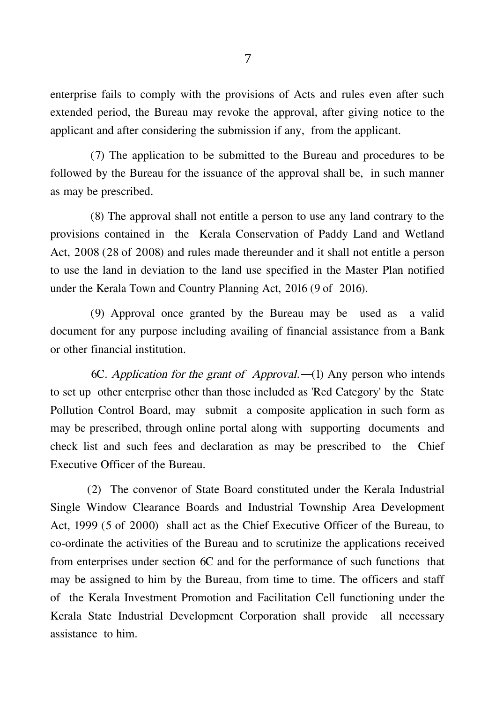enterprise fails to comply with the provisions of Acts and rules even after such extended period, the Bureau may revoke the approval, after giving notice to the applicant and after considering the submission if any, from the applicant.

(7) The application to be submitted to the Bureau and procedures to be followed by the Bureau for the issuance of the approval shall be, in such manner as may be prescribed.

(8) The approval shall not entitle a person to use any land contrary to the provisions contained in the Kerala Conservation of Paddy Land and Wetland Act, 2008 (28 of 2008) and rules made thereunder and it shall not entitle a person to use the land in deviation to the land use specified in the Master Plan notified under the Kerala Town and Country Planning Act, 2016 (9 of 2016).

(9) Approval once granted by the Bureau may be used as a valid document for any purpose including availing of financial assistance from a Bank or other financial institution.

6C. Application for the grant of Approval.―(1) Any person who intends to set up other enterprise other than those included as 'Red Category' by the State Pollution Control Board, may submit a composite application in such form as may be prescribed, through online portal along with supporting documents and check list and such fees and declaration as may be prescribed to the Chief Executive Officer of the Bureau.

(2) The convenor of State Board constituted under the Kerala Industrial Single Window Clearance Boards and Industrial Township Area Development Act, 1999 (5 of 2000) shall act as the Chief Executive Officer of the Bureau, to co-ordinate the activities of the Bureau and to scrutinize the applications received from enterprises under section 6C and for the performance of such functions that may be assigned to him by the Bureau, from time to time. The officers and staff of the Kerala Investment Promotion and Facilitation Cell functioning under the Kerala State Industrial Development Corporation shall provide all necessary assistance to him.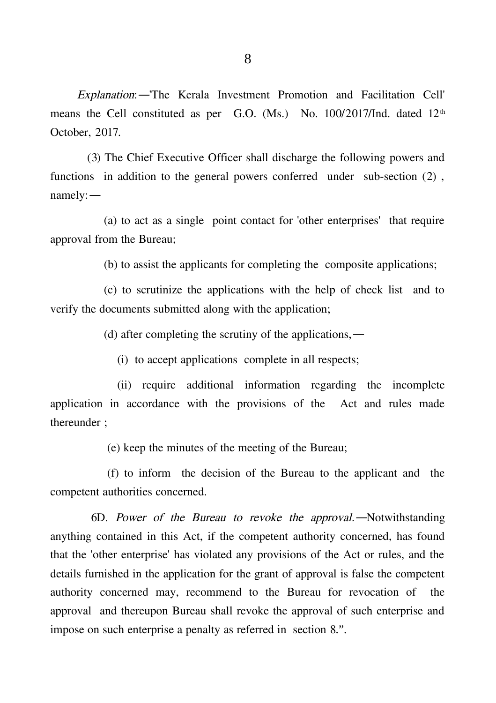Explanation:―'The Kerala Investment Promotion and Facilitation Cell' means the Cell constituted as per G.O. (Ms.) No. 100/2017/Ind. dated 12<sup>th</sup> October, 2017.

(3) The Chief Executive Officer shall discharge the following powers and functions in addition to the general powers conferred under sub-section (2) , namely:―

(a) to act as a single point contact for 'other enterprises' that require approval from the Bureau;

(b) to assist the applicants for completing the composite applications;

(c) to scrutinize the applications with the help of check list and to verify the documents submitted along with the application;

(d) after completing the scrutiny of the applications,―

(i) to accept applications complete in all respects;

(ii) require additional information regarding the incomplete application in accordance with the provisions of the Act and rules made thereunder ;

(e) keep the minutes of the meeting of the Bureau;

(f) to inform the decision of the Bureau to the applicant and the competent authorities concerned.

6D. Power of the Bureau to revoke the approval.―Notwithstanding anything contained in this Act, if the competent authority concerned, has found that the 'other enterprise' has violated any provisions of the Act or rules, and the details furnished in the application for the grant of approval is false the competent authority concerned may, recommend to the Bureau for revocation of the approval and thereupon Bureau shall revoke the approval of such enterprise and impose on such enterprise a penalty as referred in section 8.".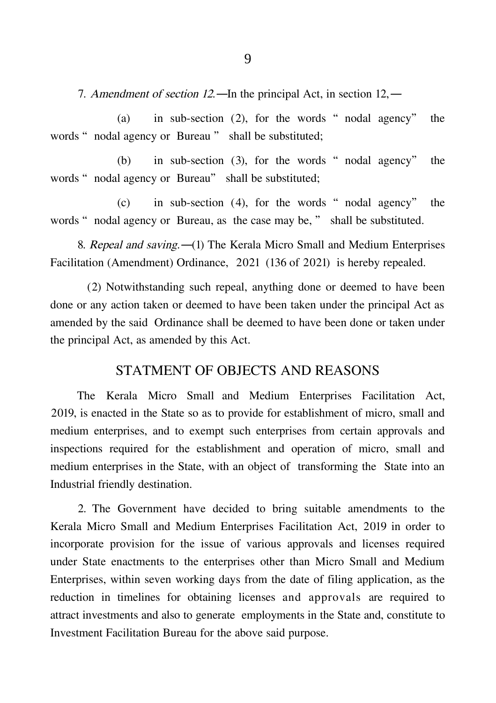7. Amendment of section 12.—In the principal Act, in section 12.—

(a) in sub-section  $(2)$ , for the words "nodal agency" the words " nodal agency or Bureau " shall be substituted;

(b) in sub-section (3), for the words "nodal agency" the words " nodal agency or Bureau" shall be substituted;

 $(c)$  in sub-section (4), for the words "nodal agency" the words " nodal agency or Bureau, as the case may be, " shall be substituted.

8. Repeal and saving.―(1) The Kerala Micro Small and Medium Enterprises Facilitation (Amendment) Ordinance, 2021 (136 of 2021) is hereby repealed.

(2) Notwithstanding such repeal, anything done or deemed to have been done or any action taken or deemed to have been taken under the principal Act as amended by the said Ordinance shall be deemed to have been done or taken under the principal Act, as amended by this Act.

#### STATMENT OF OBJECTS AND REASONS

The Kerala Micro Small and Medium Enterprises Facilitation Act, 2019, is enacted in the State so as to provide for establishment of micro, small and medium enterprises, and to exempt such enterprises from certain approvals and inspections required for the establishment and operation of micro, small and medium enterprises in the State, with an object of transforming the State into an Industrial friendly destination.

2. The Government have decided to bring suitable amendments to the Kerala Micro Small and Medium Enterprises Facilitation Act, 2019 in order to incorporate provision for the issue of various approvals and licenses required under State enactments to the enterprises other than Micro Small and Medium Enterprises, within seven working days from the date of filing application, as the reduction in timelines for obtaining licenses and approvals are required to attract investments and also to generate employments in the State and, constitute to Investment Facilitation Bureau for the above said purpose.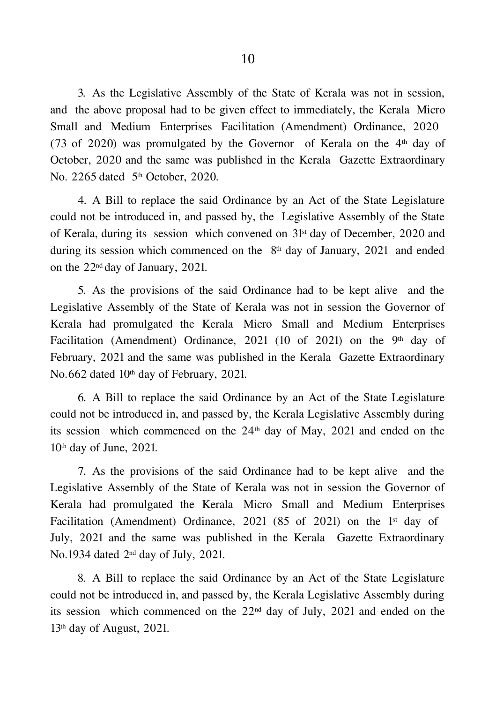3. As the Legislative Assembly of the State of Kerala was not in session, and the above proposal had to be given effect to immediately, the Kerala Micro Small and Medium Enterprises Facilitation (Amendment) Ordinance, 2020 (73 of 2020) was promulgated by the Governor of Kerala on the  $4<sup>th</sup>$  day of October, 2020 and the same was published in the Kerala Gazette Extraordinary No. 2265 dated 5<sup>th</sup> October, 2020.

4. A Bill to replace the said Ordinance by an Act of the State Legislature could not be introduced in, and passed by, the Legislative Assembly of the State of Kerala, during its session which convened on  $31<sup>st</sup>$  day of December, 2020 and during its session which commenced on the  $8<sup>th</sup>$  day of January, 2021 and ended on the 22nd day of January, 2021.

5. As the provisions of the said Ordinance had to be kept alive and the Legislative Assembly of the State of Kerala was not in session the Governor of Kerala had promulgated the Kerala Micro Small and Medium Enterprises Facilitation (Amendment) Ordinance, 2021 (10 of 2021) on the 9<sup>th</sup> day of February, 2021 and the same was published in the Kerala Gazette Extraordinary No.662 dated 10<sup>th</sup> day of February, 2021.

6. A Bill to replace the said Ordinance by an Act of the State Legislature could not be introduced in, and passed by, the Kerala Legislative Assembly during its session which commenced on the  $24<sup>th</sup>$  day of May, 2021 and ended on the  $10<sup>th</sup>$  day of June, 2021.

7. As the provisions of the said Ordinance had to be kept alive and the Legislative Assembly of the State of Kerala was not in session the Governor of Kerala had promulgated the Kerala Micro Small and Medium Enterprises Facilitation (Amendment) Ordinance, 2021 (85 of 2021) on the  $1<sup>st</sup>$  day of July, 2021 and the same was published in the Kerala Gazette Extraordinary No.1934 dated 2nd day of July, 2021.

8. A Bill to replace the said Ordinance by an Act of the State Legislature could not be introduced in, and passed by, the Kerala Legislative Assembly during its session which commenced on the  $22<sup>nd</sup>$  day of July, 2021 and ended on the  $13<sup>th</sup>$  day of August, 2021.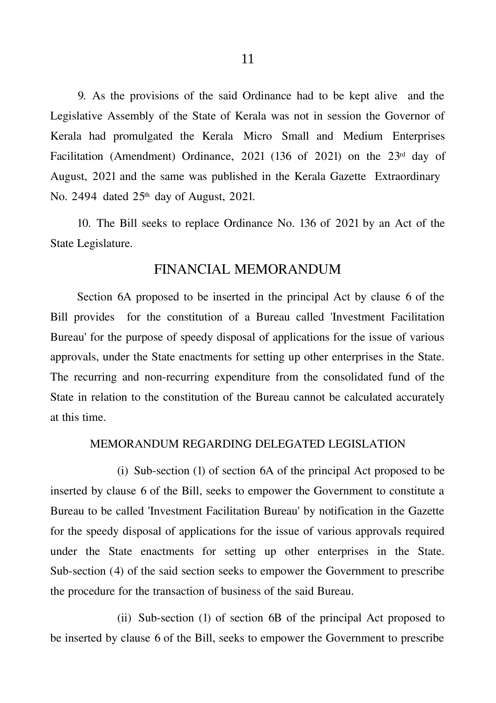9. As the provisions of the said Ordinance had to be kept alive and the Legislative Assembly of the State of Kerala was not in session the Governor of Kerala had promulgated the Kerala Micro Small and Medium Enterprises Facilitation (Amendment) Ordinance, 2021 (136 of 2021) on the 23<sup>rd</sup> day of August, 2021 and the same was published in the Kerala Gazette Extraordinary No. 2494 dated 25<sup>th</sup> day of August, 2021.

10. The Bill seeks to replace Ordinance No. 136 of 2021 by an Act of the State Legislature.

#### FINANCIAL MEMORANDUM

Section 6A proposed to be inserted in the principal Act by clause 6 of the Bill provides for the constitution of a Bureau called 'Investment Facilitation Bureau' for the purpose of speedy disposal of applications for the issue of various approvals, under the State enactments for setting up other enterprises in the State. The recurring and non-recurring expenditure from the consolidated fund of the State in relation to the constitution of the Bureau cannot be calculated accurately at this time.

#### MEMORANDUM REGARDING DELEGATED LEGISLATION

(i) Sub-section (1) of section 6A of the principal Act proposed to be inserted by clause 6 of the Bill, seeks to empower the Government to constitute a Bureau to be called 'Investment Facilitation Bureau' by notification in the Gazette for the speedy disposal of applications for the issue of various approvals required under the State enactments for setting up other enterprises in the State. Sub-section (4) of the said section seeks to empower the Government to prescribe the procedure for the transaction of business of the said Bureau.

(ii) Sub-section (1) of section 6B of the principal Act proposed to be inserted by clause 6 of the Bill, seeks to empower the Government to prescribe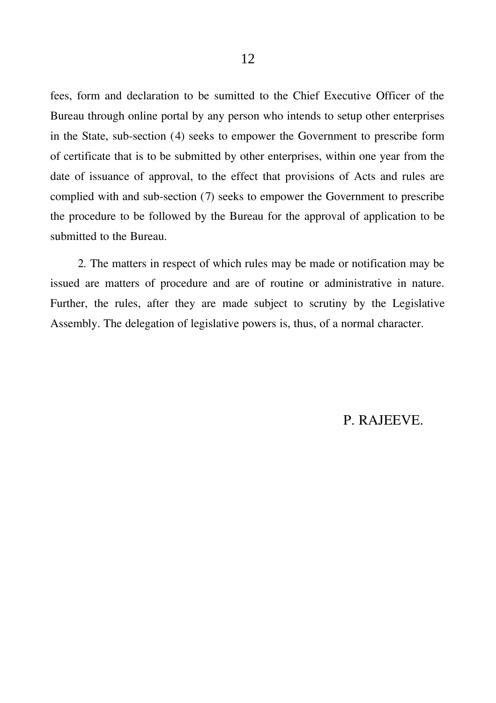fees, form and declaration to be sumitted to the Chief Executive Officer of the Bureau through online portal by any person who intends to setup other enterprises in the State, sub-section (4) seeks to empower the Government to prescribe form of certificate that is to be submitted by other enterprises, within one year from the date of issuance of approval, to the effect that provisions of Acts and rules are complied with and sub-section (7) seeks to empower the Government to prescribe the procedure to be followed by the Bureau for the approval of application to be submitted to the Bureau.

2. The matters in respect of which rules may be made or notification may be issued are matters of procedure and are of routine or administrative in nature. Further, the rules, after they are made subject to scrutiny by the Legislative Assembly. The delegation of legislative powers is, thus, of a normal character.

### P. RAJEEVE.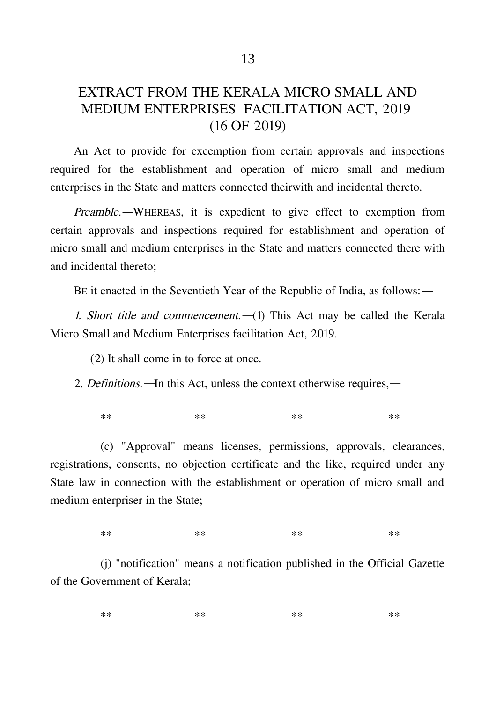## EXTRACT FROM THE KERALA MICRO SMALL AND MEDIUM ENTERPRISES FACILITATION ACT, 2019 (16 OF 2019)

An Act to provide for excemption from certain approvals and inspections required for the establishment and operation of micro small and medium enterprises in the State and matters connected theirwith and incidental thereto.

Preamble.―WHEREAS, it is expedient to give effect to exemption from certain approvals and inspections required for establishment and operation of micro small and medium enterprises in the State and matters connected there with and incidental thereto;

BE it enacted in the Seventieth Year of the Republic of India, as follows:―

1. Short title and commencement.—(1) This Act may be called the Kerala Micro Small and Medium Enterprises facilitation Act, 2019.

(2) It shall come in to force at once.

2. Definitions.―In this Act, unless the context otherwise requires,―

\*\* \*\* \*\* \*\* \*\* \*\* \*\* \*\*

(c) "Approval" means licenses, permissions, approvals, clearances, registrations, consents, no objection certificate and the like, required under any State law in connection with the establishment or operation of micro small and medium enterpriser in the State;

\*\* \*\* \*\* \*\* \*\* \*\* \*\*

(j) "notification" means a notification published in the Official Gazette of the Government of Kerala;

\*\* \*\* \*\* \*\* \*\* \*\* \*\* \*\*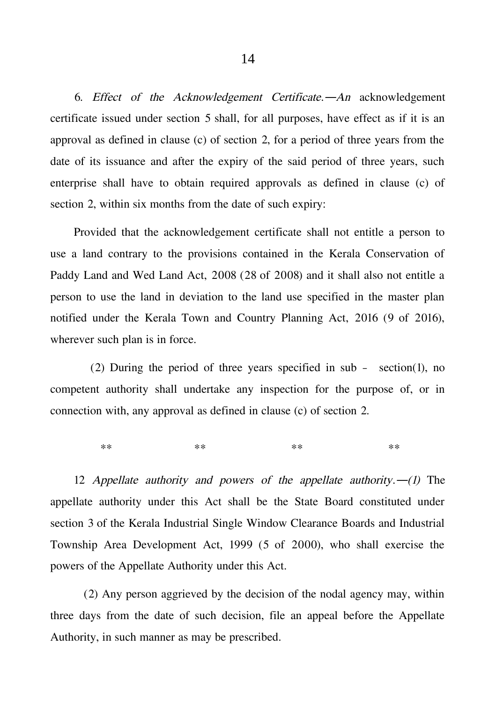6. Effect of the Acknowledgement Certificate.―An acknowledgement certificate issued under section 5 shall, for all purposes, have effect as if it is an approval as defined in clause (c) of section 2, for a period of three years from the date of its issuance and after the expiry of the said period of three years, such enterprise shall have to obtain required approvals as defined in clause (c) of section 2, within six months from the date of such expiry:

Provided that the acknowledgement certificate shall not entitle a person to use a land contrary to the provisions contained in the Kerala Conservation of Paddy Land and Wed Land Act, 2008 (28 of 2008) and it shall also not entitle a person to use the land in deviation to the land use specified in the master plan notified under the Kerala Town and Country Planning Act, 2016 (9 of 2016), wherever such plan is in force.

(2) During the period of three years specified in sub – section(1), no competent authority shall undertake any inspection for the purpose of, or in connection with, any approval as defined in clause (c) of section 2.

\*\* \*\* \*\* \*\* \*\* \*\* \*\* \*\*

12 Appellate authority and powers of the appellate authority.—(1) The appellate authority under this Act shall be the State Board constituted under section 3 of the Kerala Industrial Single Window Clearance Boards and Industrial Township Area Development Act, 1999 (5 of 2000), who shall exercise the powers of the Appellate Authority under this Act.

(2) Any person aggrieved by the decision of the nodal agency may, within three days from the date of such decision, file an appeal before the Appellate Authority, in such manner as may be prescribed.